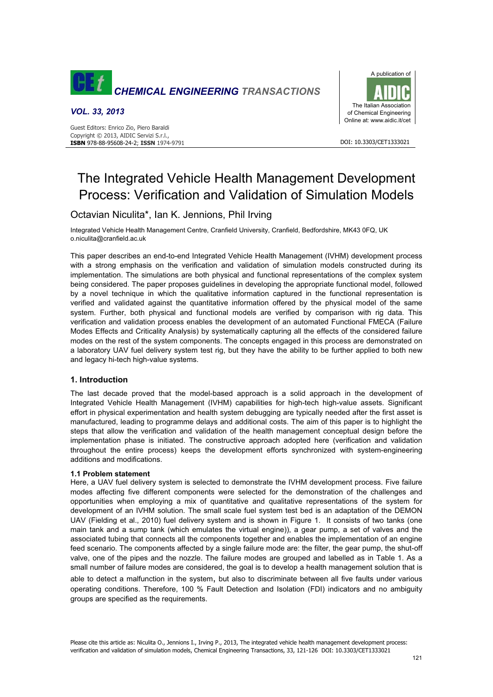

## *VOL. 33, 2013*



#### DOI: 10.3303/CET1333021

# The Integrated Vehicle Health Management Development Process: Verification and Validation of Simulation Models

# Octavian Niculita\*, Ian K. Jennions, Phil Irving

Integrated Vehicle Health Management Centre, Cranfield University, Cranfield, Bedfordshire, MK43 0FQ, UK o.niculita@cranfield.ac.uk

This paper describes an end-to-end Integrated Vehicle Health Management (IVHM) development process with a strong emphasis on the verification and validation of simulation models constructed during its implementation. The simulations are both physical and functional representations of the complex system being considered. The paper proposes guidelines in developing the appropriate functional model, followed by a novel technique in which the qualitative information captured in the functional representation is verified and validated against the quantitative information offered by the physical model of the same system. Further, both physical and functional models are verified by comparison with rig data. This verification and validation process enables the development of an automated Functional FMECA (Failure Modes Effects and Criticality Analysis) by systematically capturing all the effects of the considered failure modes on the rest of the system components. The concepts engaged in this process are demonstrated on a laboratory UAV fuel delivery system test rig, but they have the ability to be further applied to both new and legacy hi-tech high-value systems.

## **1. Introduction**

The last decade proved that the model-based approach is a solid approach in the development of Integrated Vehicle Health Management (IVHM) capabilities for high-tech high-value assets. Significant effort in physical experimentation and health system debugging are typically needed after the first asset is manufactured, leading to programme delays and additional costs. The aim of this paper is to highlight the steps that allow the verification and validation of the health management conceptual design before the implementation phase is initiated. The constructive approach adopted here (verification and validation throughout the entire process) keeps the development efforts synchronized with system-engineering additions and modifications.

#### **1.1 Problem statement**

Here, a UAV fuel delivery system is selected to demonstrate the IVHM development process. Five failure modes affecting five different components were selected for the demonstration of the challenges and opportunities when employing a mix of quantitative and qualitative representations of the system for development of an IVHM solution. The small scale fuel system test bed is an adaptation of the DEMON UAV (Fielding et al., 2010) fuel delivery system and is shown in Figure 1. It consists of two tanks (one main tank and a sump tank (which emulates the virtual engine)), a gear pump, a set of valves and the associated tubing that connects all the components together and enables the implementation of an engine feed scenario. The components affected by a single failure mode are: the filter, the gear pump, the shut-off valve, one of the pipes and the nozzle. The failure modes are grouped and labelled as in Table 1. As a small number of failure modes are considered, the goal is to develop a health management solution that is able to detect a malfunction in the system, but also to discriminate between all five faults under various operating conditions. Therefore, 100 % Fault Detection and Isolation (FDI) indicators and no ambiguity groups are specified as the requirements.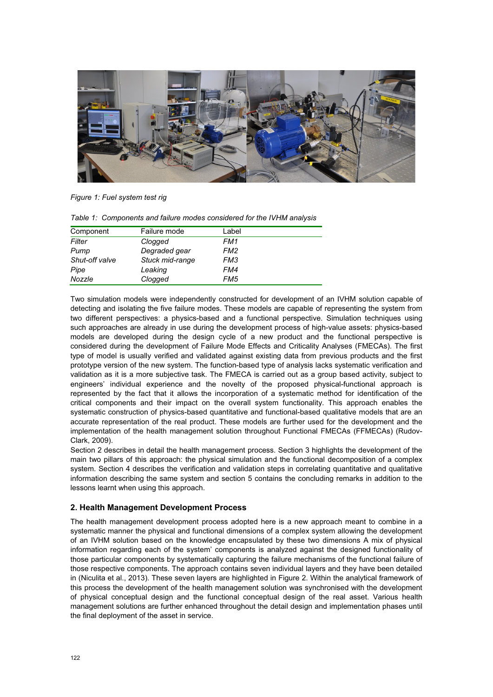

*Figure 1: Fuel system test rig* 

| Table 1: Components and failure modes considered for the IVHM analysis |  |
|------------------------------------------------------------------------|--|
|------------------------------------------------------------------------|--|

| Component      | Failure mode    | Label           |
|----------------|-----------------|-----------------|
| Filter         | Clogged         | FM1             |
| Pump           | Degraded gear   | FM <sub>2</sub> |
| Shut-off valve | Stuck mid-range | FM <sub>3</sub> |
| Pipe           | Leaking         | FM4             |
| Nozzle         | Clogged         | FM <sub>5</sub> |

Two simulation models were independently constructed for development of an IVHM solution capable of detecting and isolating the five failure modes. These models are capable of representing the system from two different perspectives: a physics-based and a functional perspective. Simulation techniques using such approaches are already in use during the development process of high-value assets: physics-based models are developed during the design cycle of a new product and the functional perspective is considered during the development of Failure Mode Effects and Criticality Analyses (FMECAs). The first type of model is usually verified and validated against existing data from previous products and the first prototype version of the new system. The function-based type of analysis lacks systematic verification and validation as it is a more subjective task. The FMECA is carried out as a group based activity, subject to engineers' individual experience and the novelty of the proposed physical-functional approach is represented by the fact that it allows the incorporation of a systematic method for identification of the critical components and their impact on the overall system functionality. This approach enables the systematic construction of physics-based quantitative and functional-based qualitative models that are an accurate representation of the real product. These models are further used for the development and the implementation of the health management solution throughout Functional FMECAs (FFMECAs) (Rudov-Clark, 2009).

Section 2 describes in detail the health management process. Section 3 highlights the development of the main two pillars of this approach: the physical simulation and the functional decomposition of a complex system. Section 4 describes the verification and validation steps in correlating quantitative and qualitative information describing the same system and section 5 contains the concluding remarks in addition to the lessons learnt when using this approach.

## **2. Health Management Development Process**

The health management development process adopted here is a new approach meant to combine in a systematic manner the physical and functional dimensions of a complex system allowing the development of an IVHM solution based on the knowledge encapsulated by these two dimensions A mix of physical information regarding each of the system' components is analyzed against the designed functionality of those particular components by systematically capturing the failure mechanisms of the functional failure of those respective components. The approach contains seven individual layers and they have been detailed in (Niculita et al., 2013). These seven layers are highlighted in Figure 2. Within the analytical framework of this process the development of the health management solution was synchronised with the development of physical conceptual design and the functional conceptual design of the real asset. Various health management solutions are further enhanced throughout the detail design and implementation phases until the final deployment of the asset in service.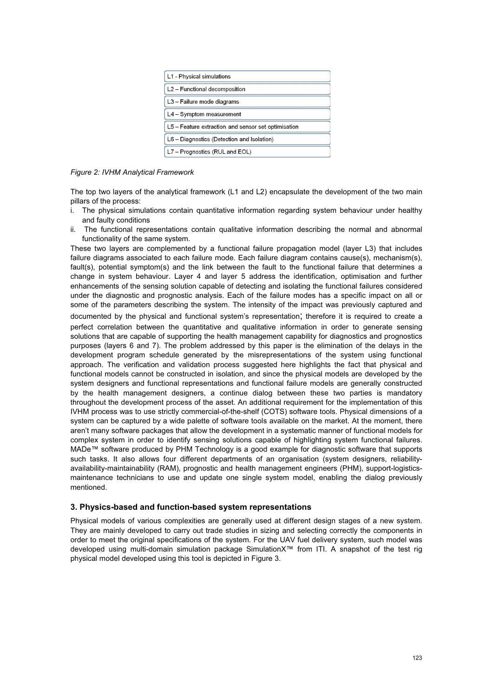

*Figure 2: IVHM Analytical Framework* 

The top two layers of the analytical framework (L1 and L2) encapsulate the development of the two main pillars of the process:

- i. The physical simulations contain quantitative information regarding system behaviour under healthy and faulty conditions
- ii. The functional representations contain qualitative information describing the normal and abnormal functionality of the same system.

These two layers are complemented by a functional failure propagation model (layer L3) that includes failure diagrams associated to each failure mode. Each failure diagram contains cause(s), mechanism(s), fault(s), potential symptom(s) and the link between the fault to the functional failure that determines a change in system behaviour. Layer 4 and layer 5 address the identification, optimisation and further enhancements of the sensing solution capable of detecting and isolating the functional failures considered under the diagnostic and prognostic analysis. Each of the failure modes has a specific impact on all or some of the parameters describing the system. The intensity of the impact was previously captured and

documented by the physical and functional system's representation; therefore it is required to create a perfect correlation between the quantitative and qualitative information in order to generate sensing solutions that are capable of supporting the health management capability for diagnostics and prognostics purposes (layers 6 and 7). The problem addressed by this paper is the elimination of the delays in the development program schedule generated by the misrepresentations of the system using functional approach. The verification and validation process suggested here highlights the fact that physical and functional models cannot be constructed in isolation, and since the physical models are developed by the system designers and functional representations and functional failure models are generally constructed by the health management designers, a continue dialog between these two parties is mandatory throughout the development process of the asset. An additional requirement for the implementation of this IVHM process was to use strictly commercial-of-the-shelf (COTS) software tools. Physical dimensions of a system can be captured by a wide palette of software tools available on the market. At the moment, there aren't many software packages that allow the development in a systematic manner of functional models for complex system in order to identify sensing solutions capable of highlighting system functional failures. MADe™ software produced by PHM Technology is a good example for diagnostic software that supports such tasks. It also allows four different departments of an organisation (system designers, reliabilityavailability-maintainability (RAM), prognostic and health management engineers (PHM), support-logisticsmaintenance technicians to use and update one single system model, enabling the dialog previously mentioned.

## **3. Physics-based and function-based system representations**

Physical models of various complexities are generally used at different design stages of a new system. They are mainly developed to carry out trade studies in sizing and selecting correctly the components in order to meet the original specifications of the system. For the UAV fuel delivery system, such model was developed using multi-domain simulation package SimulationX™ from ITI. A snapshot of the test rig physical model developed using this tool is depicted in Figure 3.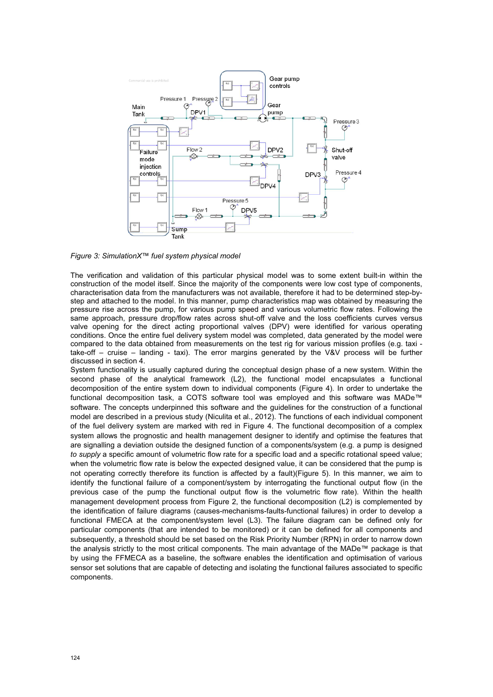

*Figure 3: SimulationX™ fuel system physical model* 

The verification and validation of this particular physical model was to some extent built-in within the construction of the model itself. Since the majority of the components were low cost type of components, characterisation data from the manufacturers was not available, therefore it had to be determined step-bystep and attached to the model. In this manner, pump characteristics map was obtained by measuring the pressure rise across the pump, for various pump speed and various volumetric flow rates. Following the same approach, pressure drop/flow rates across shut-off valve and the loss coefficients curves versus valve opening for the direct acting proportional valves (DPV) were identified for various operating conditions. Once the entire fuel delivery system model was completed, data generated by the model were compared to the data obtained from measurements on the test rig for various mission profiles (e.g. taxi take-off – cruise – landing - taxi). The error margins generated by the V&V process will be further discussed in section 4.

System functionality is usually captured during the conceptual design phase of a new system. Within the second phase of the analytical framework (L2), the functional model encapsulates a functional decomposition of the entire system down to individual components (Figure 4). In order to undertake the functional decomposition task, a COTS software tool was employed and this software was MADe™ software. The concepts underpinned this software and the guidelines for the construction of a functional model are described in a previous study (Niculita et al., 2012). The functions of each individual component of the fuel delivery system are marked with red in Figure 4. The functional decomposition of a complex system allows the prognostic and health management designer to identify and optimise the features that are signalling a deviation outside the designed function of a components/system (e.g. a pump is designed *to supply* a specific amount of volumetric flow rate for a specific load and a specific rotational speed value; when the volumetric flow rate is below the expected designed value, it can be considered that the pump is not operating correctly therefore its function is affected by a fault)(Figure 5). In this manner, we aim to identify the functional failure of a component/system by interrogating the functional output flow (in the previous case of the pump the functional output flow is the volumetric flow rate). Within the health management development process from Figure 2, the functional decomposition (L2) is complemented by the identification of failure diagrams (causes-mechanisms-faults-functional failures) in order to develop a functional FMECA at the component/system level (L3). The failure diagram can be defined only for particular components (that are intended to be monitored) or it can be defined for all components and subsequently, a threshold should be set based on the Risk Priority Number (RPN) in order to narrow down the analysis strictly to the most critical components. The main advantage of the MADe™ package is that by using the FFMECA as a baseline, the software enables the identification and optimisation of various sensor set solutions that are capable of detecting and isolating the functional failures associated to specific components.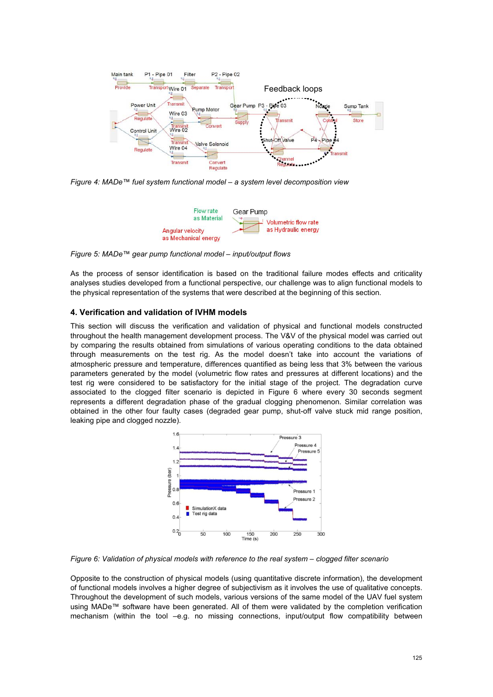

*Figure 4: MADe™ fuel system functional model – a system level decomposition view*



*Figure 5: MADe™ gear pump functional model – input/output flows*

As the process of sensor identification is based on the traditional failure modes effects and criticality analyses studies developed from a functional perspective, our challenge was to align functional models to the physical representation of the systems that were described at the beginning of this section.

# **4. Verification and validation of IVHM models**

This section will discuss the verification and validation of physical and functional models constructed throughout the health management development process. The V&V of the physical model was carried out by comparing the results obtained from simulations of various operating conditions to the data obtained through measurements on the test rig. As the model doesn't take into account the variations of atmospheric pressure and temperature, differences quantified as being less that 3% between the various parameters generated by the model (volumetric flow rates and pressures at different locations) and the test rig were considered to be satisfactory for the initial stage of the project. The degradation curve associated to the clogged filter scenario is depicted in Figure 6 where every 30 seconds segment represents a different degradation phase of the gradual clogging phenomenon. Similar correlation was obtained in the other four faulty cases (degraded gear pump, shut-off valve stuck mid range position, leaking pipe and clogged nozzle).



*Figure 6: Validation of physical models with reference to the real system – clogged filter scenario* 

Opposite to the construction of physical models (using quantitative discrete information), the development of functional models involves a higher degree of subjectivism as it involves the use of qualitative concepts. Throughout the development of such models, various versions of the same model of the UAV fuel system using MADe™ software have been generated. All of them were validated by the completion verification mechanism (within the tool –e.g. no missing connections, input/output flow compatibility between